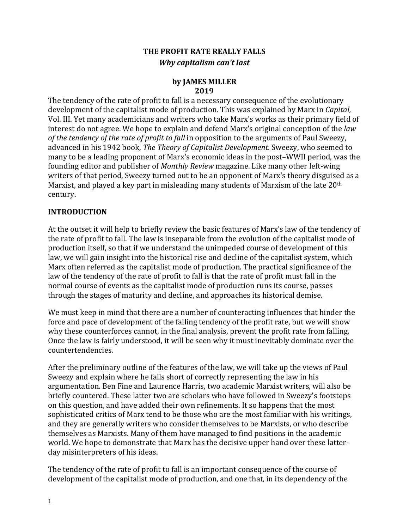# **THE PROFIT RATE REALLY FALLS** *Why capitalism can't last*

#### **by JAMES MILLER 2019**

The tendency of the rate of profit to fall is a necessary consequence of the evolutionary development of the capitalist mode of production. This was explained by Marx in *Capital,* Vol. III. Yet many academicians and writers who take Marx's works as their primary field of interest do not agree. We hope to explain and defend Marx's original conception of the *law of the tendency of the rate of profit to fall* in opposition to the arguments of Paul Sweezy, advanced in his 1942 book, *The Theory of Capitalist Development*. Sweezy, who seemed to many to be a leading proponent of Marx's economic ideas in the post–WWII period, was the founding editor and publisher of *Monthly Review* magazine. Like many other left-wing writers of that period, Sweezy turned out to be an opponent of Marx's theory disguised as a Marxist, and played a key part in misleading many students of Marxism of the late 20<sup>th</sup> century.

### **INTRODUCTION**

At the outset it will help to briefly review the basic features of Marx's law of the tendency of the rate of profit to fall. The law is inseparable from the evolution of the capitalist mode of production itself, so that if we understand the unimpeded course of development of this law, we will gain insight into the historical rise and decline of the capitalist system, which Marx often referred as the capitalist mode of production. The practical significance of the law of the tendency of the rate of profit to fall is that the rate of profit must fall in the normal course of events as the capitalist mode of production runs its course, passes through the stages of maturity and decline, and approaches its historical demise.

We must keep in mind that there are a number of counteracting influences that hinder the force and pace of development of the falling tendency of the profit rate, but we will show why these counterforces cannot, in the final analysis, prevent the profit rate from falling. Once the law is fairly understood, it will be seen why it must inevitably dominate over the countertendencies.

After the preliminary outline of the features of the law, we will take up the views of Paul Sweezy and explain where he falls short of correctly representing the law in his argumentation. Ben Fine and Laurence Harris, two academic Marxist writers, will also be briefly countered. These latter two are scholars who have followed in Sweezy's footsteps on this question, and have added their own refinements. It so happens that the most sophisticated critics of Marx tend to be those who are the most familiar with his writings, and they are generally writers who consider themselves to be Marxists, or who describe themselves as Marxists. Many of them have managed to find positions in the academic world. We hope to demonstrate that Marx has the decisive upper hand over these latterday misinterpreters of his ideas.

The tendency of the rate of profit to fall is an important consequence of the course of development of the capitalist mode of production, and one that, in its dependency of the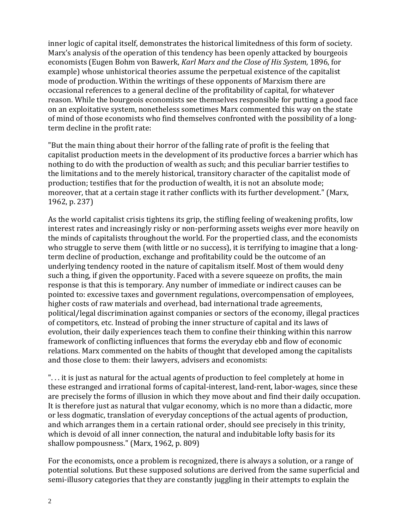inner logic of capital itself, demonstrates the historical limitedness of this form of society. Marx's analysis of the operation of this tendency has been openly attacked by bourgeois economists (Eugen Bohm von Bawerk, *Karl Marx and the Close of His System,* 1896, for example) whose unhistorical theories assume the perpetual existence of the capitalist mode of production. Within the writings of these opponents of Marxism there are occasional references to a general decline of the profitability of capital, for whatever reason. While the bourgeois economists see themselves responsible for putting a good face on an exploitative system, nonetheless sometimes Marx commented this way on the state of mind of those economists who find themselves confronted with the possibility of a longterm decline in the profit rate:

"But the main thing about their horror of the falling rate of profit is the feeling that capitalist production meets in the development of its productive forces a barrier which has nothing to do with the production of wealth as such; and this peculiar barrier testifies to the limitations and to the merely historical, transitory character of the capitalist mode of production; testifies that for the production of wealth, it is not an absolute mode; moreover, that at a certain stage it rather conflicts with its further development." (Marx, 1962, p. 237)

As the world capitalist crisis tightens its grip, the stifling feeling of weakening profits, low interest rates and increasingly risky or non-performing assets weighs ever more heavily on the minds of capitalists throughout the world. For the propertied class, and the economists who struggle to serve them (with little or no success), it is terrifying to imagine that a longterm decline of production, exchange and profitability could be the outcome of an underlying tendency rooted in the nature of capitalism itself. Most of them would deny such a thing, if given the opportunity. Faced with a severe squeeze on profits, the main response is that this is temporary. Any number of immediate or indirect causes can be pointed to: excessive taxes and government regulations, overcompensation of employees, higher costs of raw materials and overhead, bad international trade agreements, political/legal discrimination against companies or sectors of the economy, illegal practices of competitors, etc. Instead of probing the inner structure of capital and its laws of evolution, their daily experiences teach them to confine their thinking within this narrow framework of conflicting influences that forms the everyday ebb and flow of economic relations. Marx commented on the habits of thought that developed among the capitalists and those close to them: their lawyers, advisers and economists:

". . . it is just as natural for the actual agents of production to feel completely at home in these estranged and irrational forms of capital-interest, land-rent, labor-wages, since these are precisely the forms of illusion in which they move about and find their daily occupation. It is therefore just as natural that vulgar economy, which is no more than a didactic, more or less dogmatic, translation of everyday conceptions of the actual agents of production, and which arranges them in a certain rational order, should see precisely in this trinity, which is devoid of all inner connection, the natural and indubitable lofty basis for its shallow pompousness." (Marx, 1962, p. 809)

For the economists, once a problem is recognized, there is always a solution, or a range of potential solutions. But these supposed solutions are derived from the same superficial and semi-illusory categories that they are constantly juggling in their attempts to explain the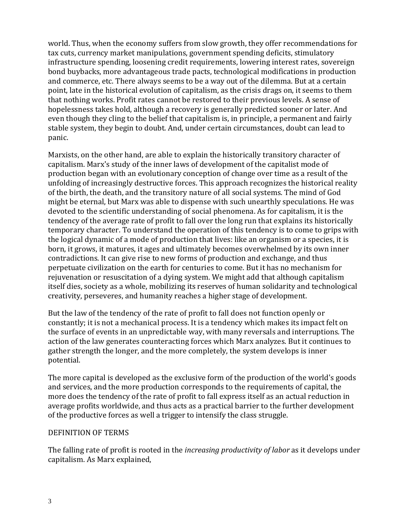world. Thus, when the economy suffers from slow growth, they offer recommendations for tax cuts, currency market manipulations, government spending deficits, stimulatory infrastructure spending, loosening credit requirements, lowering interest rates, sovereign bond buybacks, more advantageous trade pacts, technological modifications in production and commerce, etc. There always seems to be a way out of the dilemma. But at a certain point, late in the historical evolution of capitalism, as the crisis drags on, it seems to them that nothing works. Profit rates cannot be restored to their previous levels. A sense of hopelessness takes hold, although a recovery is generally predicted sooner or later. And even though they cling to the belief that capitalism is, in principle, a permanent and fairly stable system, they begin to doubt. And, under certain circumstances, doubt can lead to panic.

Marxists, on the other hand, are able to explain the historically transitory character of capitalism. Marx's study of the inner laws of development of the capitalist mode of production began with an evolutionary conception of change over time as a result of the unfolding of increasingly destructive forces. This approach recognizes the historical reality of the birth, the death, and the transitory nature of all social systems. The mind of God might be eternal, but Marx was able to dispense with such unearthly speculations. He was devoted to the scientific understanding of social phenomena. As for capitalism, it is the tendency of the average rate of profit to fall over the long run that explains its historically temporary character. To understand the operation of this tendency is to come to grips with the logical dynamic of a mode of production that lives: like an organism or a species, it is born, it grows, it matures, it ages and ultimately becomes overwhelmed by its own inner contradictions. It can give rise to new forms of production and exchange, and thus perpetuate civilization on the earth for centuries to come. But it has no mechanism for rejuvenation or resuscitation of a dying system. We might add that although capitalism itself dies, society as a whole, mobilizing its reserves of human solidarity and technological creativity, perseveres, and humanity reaches a higher stage of development.

But the law of the tendency of the rate of profit to fall does not function openly or constantly; it is not a mechanical process. It is a tendency which makes its impact felt on the surface of events in an unpredictable way, with many reversals and interruptions. The action of the law generates counteracting forces which Marx analyzes. But it continues to gather strength the longer, and the more completely, the system develops is inner potential.

The more capital is developed as the exclusive form of the production of the world's goods and services, and the more production corresponds to the requirements of capital, the more does the tendency of the rate of profit to fall express itself as an actual reduction in average profits worldwide, and thus acts as a practical barrier to the further development of the productive forces as well a trigger to intensify the class struggle.

#### DEFINITION OF TERMS

The falling rate of profit is rooted in the *increasing productivity of labor* as it develops under capitalism. As Marx explained,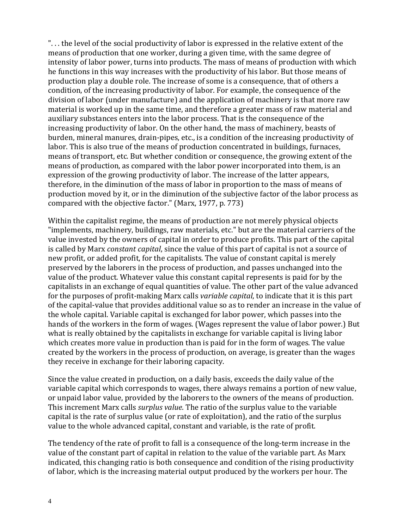". . . the level of the social productivity of labor is expressed in the relative extent of the means of production that one worker, during a given time, with the same degree of intensity of labor power, turns into products. The mass of means of production with which he functions in this way increases with the productivity of his labor. But those means of production play a double role. The increase of some is a consequence, that of others a condition, of the increasing productivity of labor. For example, the consequence of the division of labor (under manufacture) and the application of machinery is that more raw material is worked up in the same time, and therefore a greater mass of raw material and auxiliary substances enters into the labor process. That is the consequence of the increasing productivity of labor. On the other hand, the mass of machinery, beasts of burden, mineral manures, drain-pipes, etc., is a condition of the increasing productivity of labor. This is also true of the means of production concentrated in buildings, furnaces, means of transport, etc. But whether condition or consequence, the growing extent of the means of production, as compared with the labor power incorporated into them, is an expression of the growing productivity of labor. The increase of the latter appears, therefore, in the diminution of the mass of labor in proportion to the mass of means of production moved by it, or in the diminution of the subjective factor of the labor process as compared with the objective factor." (Marx, 1977, p. 773)

Within the capitalist regime, the means of production are not merely physical objects "implements, machinery, buildings, raw materials, etc." but are the material carriers of the value invested by the owners of capital in order to produce profits. This part of the capital is called by Marx *constant capital*, since the value of this part of capital is not a source of new profit, or added profit, for the capitalists. The value of constant capital is merely preserved by the laborers in the process of production, and passes unchanged into the value of the product. Whatever value this constant capital represents is paid for by the capitalists in an exchange of equal quantities of value. The other part of the value advanced for the purposes of profit-making Marx calls *variable capital*, to indicate that it is this part of the capital-value that provides additional value so as to render an increase in the value of the whole capital. Variable capital is exchanged for labor power, which passes into the hands of the workers in the form of wages. (Wages represent the value of labor power.) But what is really obtained by the capitalists in exchange for variable capital is living labor which creates more value in production than is paid for in the form of wages. The value created by the workers in the process of production, on average, is greater than the wages they receive in exchange for their laboring capacity.

Since the value created in production, on a daily basis, exceeds the daily value of the variable capital which corresponds to wages, there always remains a portion of new value, or unpaid labor value, provided by the laborers to the owners of the means of production. This increment Marx calls *surplus value*. The ratio of the surplus value to the variable capital is the rate of surplus value (or rate of exploitation), and the ratio of the surplus value to the whole advanced capital, constant and variable, is the rate of profit.

The tendency of the rate of profit to fall is a consequence of the long-term increase in the value of the constant part of capital in relation to the value of the variable part. As Marx indicated, this changing ratio is both consequence and condition of the rising productivity of labor, which is the increasing material output produced by the workers per hour. The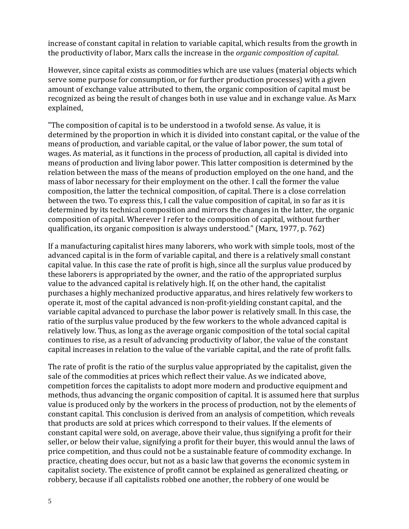increase of constant capital in relation to variable capital, which results from the growth in the productivity of labor, Marx calls the increase in the *organic composition of capital*.

However, since capital exists as commodities which are use values (material objects which serve some purpose for consumption, or for further production processes) with a given amount of exchange value attributed to them, the organic composition of capital must be recognized as being the result of changes both in use value and in exchange value. As Marx explained,

"The composition of capital is to be understood in a twofold sense. As value, it is determined by the proportion in which it is divided into constant capital, or the value of the means of production, and variable capital, or the value of labor power, the sum total of wages. As material, as it functions in the process of production, all capital is divided into means of production and living labor power. This latter composition is determined by the relation between the mass of the means of production employed on the one hand, and the mass of labor necessary for their employment on the other. I call the former the value composition, the latter the technical composition, of capital. There is a close correlation between the two. To express this, I call the value composition of capital, in so far as it is determined by its technical composition and mirrors the changes in the latter, the organic composition of capital. Wherever I refer to the composition of capital, without further qualification, its organic composition is always understood." (Marx, 1977, p. 762)

If a manufacturing capitalist hires many laborers, who work with simple tools, most of the advanced capital is in the form of variable capital, and there is a relatively small constant capital value. In this case the rate of profit is high, since all the surplus value produced by these laborers is appropriated by the owner, and the ratio of the appropriated surplus value to the advanced capital is relatively high. If, on the other hand, the capitalist purchases a highly mechanized productive apparatus, and hires relatively few workers to operate it, most of the capital advanced is non-profit-yielding constant capital, and the variable capital advanced to purchase the labor power is relatively small. In this case, the ratio of the surplus value produced by the few workers to the whole advanced capital is relatively low. Thus, as long as the average organic composition of the total social capital continues to rise, as a result of advancing productivity of labor, the value of the constant capital increases in relation to the value of the variable capital, and the rate of profit falls.

The rate of profit is the ratio of the surplus value appropriated by the capitalist, given the sale of the commodities at prices which reflect their value. As we indicated above, competition forces the capitalists to adopt more modern and productive equipment and methods, thus advancing the organic composition of capital. It is assumed here that surplus value is produced only by the workers in the process of production, not by the elements of constant capital. This conclusion is derived from an analysis of competition, which reveals that products are sold at prices which correspond to their values. If the elements of constant capital were sold, on average, above their value, thus signifying a profit for their seller, or below their value, signifying a profit for their buyer, this would annul the laws of price competition, and thus could not be a sustainable feature of commodity exchange. In practice, cheating does occur, but not as a basic law that governs the economic system in capitalist society. The existence of profit cannot be explained as generalized cheating, or robbery, because if all capitalists robbed one another, the robbery of one would be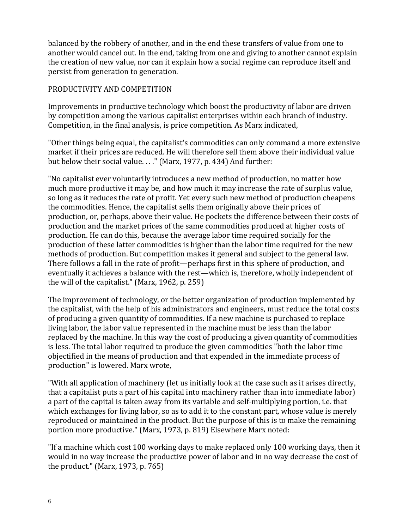balanced by the robbery of another, and in the end these transfers of value from one to another would cancel out. In the end, taking from one and giving to another cannot explain the creation of new value, nor can it explain how a social regime can reproduce itself and persist from generation to generation.

#### PRODUCTIVITY AND COMPETITION

Improvements in productive technology which boost the productivity of labor are driven by competition among the various capitalist enterprises within each branch of industry. Competition, in the final analysis, is price competition. As Marx indicated,

"Other things being equal, the capitalist's commodities can only command a more extensive market if their prices are reduced. He will therefore sell them above their individual value but below their social value...." (Marx, 1977, p. 434) And further:

"No capitalist ever voluntarily introduces a new method of production, no matter how much more productive it may be, and how much it may increase the rate of surplus value, so long as it reduces the rate of profit. Yet every such new method of production cheapens the commodities. Hence, the capitalist sells them originally above their prices of production, or, perhaps, above their value. He pockets the difference between their costs of production and the market prices of the same commodities produced at higher costs of production. He can do this, because the average labor time required socially for the production of these latter commodities is higher than the labor time required for the new methods of production. But competition makes it general and subject to the general law. There follows a fall in the rate of profit—perhaps first in this sphere of production, and eventually it achieves a balance with the rest—which is, therefore, wholly independent of the will of the capitalist." (Marx, 1962, p. 259)

The improvement of technology, or the better organization of production implemented by the capitalist, with the help of his administrators and engineers, must reduce the total costs of producing a given quantity of commodities. If a new machine is purchased to replace living labor, the labor value represented in the machine must be less than the labor replaced by the machine. In this way the cost of producing a given quantity of commodities is less. The total labor required to produce the given commodities "both the labor time objectified in the means of production and that expended in the immediate process of production" is lowered. Marx wrote,

"With all application of machinery (let us initially look at the case such as it arises directly, that a capitalist puts a part of his capital into machinery rather than into immediate labor) a part of the capital is taken away from its variable and self-multiplying portion, i.e. that which exchanges for living labor, so as to add it to the constant part, whose value is merely reproduced or maintained in the product. But the purpose of this is to make the remaining portion more productive." (Marx, 1973, p. 819) Elsewhere Marx noted:

"If a machine which cost 100 working days to make replaced only 100 working days, then it would in no way increase the productive power of labor and in no way decrease the cost of the product." (Marx, 1973, p. 765)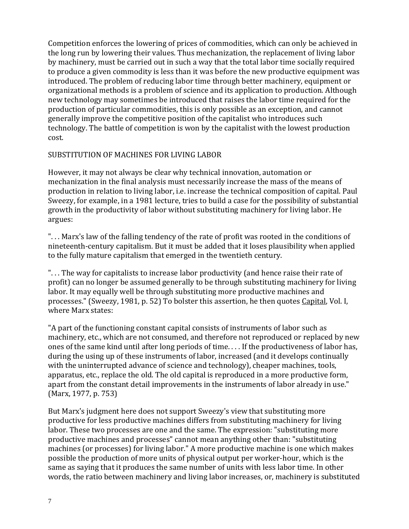Competition enforces the lowering of prices of commodities, which can only be achieved in the long run by lowering their values. Thus mechanization, the replacement of living labor by machinery, must be carried out in such a way that the total labor time socially required to produce a given commodity is less than it was before the new productive equipment was introduced. The problem of reducing labor time through better machinery, equipment or organizational methods is a problem of science and its application to production. Although new technology may sometimes be introduced that raises the labor time required for the production of particular commodities, this is only possible as an exception, and cannot generally improve the competitive position of the capitalist who introduces such technology. The battle of competition is won by the capitalist with the lowest production cost.

#### SUBSTITUTION OF MACHINES FOR LIVING LABOR

However, it may not always be clear why technical innovation, automation or mechanization in the final analysis must necessarily increase the mass of the means of production in relation to living labor, i.e. increase the technical composition of capital. Paul Sweezy, for example, in a 1981 lecture, tries to build a case for the possibility of substantial growth in the productivity of labor without substituting machinery for living labor. He argues:

". . . Marx's law of the falling tendency of the rate of profit was rooted in the conditions of nineteenth-century capitalism. But it must be added that it loses plausibility when applied to the fully mature capitalism that emerged in the twentieth century.

". . . The way for capitalists to increase labor productivity (and hence raise their rate of profit) can no longer be assumed generally to be through substituting machinery for living labor. It may equally well be through substituting more productive machines and processes." (Sweezy, 1981, p. 52) To bolster this assertion, he then quotes Capital, Vol. I, where Marx states:

"A part of the functioning constant capital consists of instruments of labor such as machinery, etc., which are not consumed, and therefore not reproduced or replaced by new ones of the same kind until after long periods of time. . . . If the productiveness of labor has, during the using up of these instruments of labor, increased (and it develops continually with the uninterrupted advance of science and technology), cheaper machines, tools, apparatus, etc., replace the old. The old capital is reproduced in a more productive form, apart from the constant detail improvements in the instruments of labor already in use." (Marx, 1977, p. 753)

But Marx's judgment here does not support Sweezy's view that substituting more productive for less productive machines differs from substituting machinery for living labor. These two processes are one and the same. The expression: "substituting more productive machines and processes" cannot mean anything other than: "substituting machines (or processes) for living labor." A more productive machine is one which makes possible the production of more units of physical output per worker-hour, which is the same as saying that it produces the same number of units with less labor time. In other words, the ratio between machinery and living labor increases, or, machinery is substituted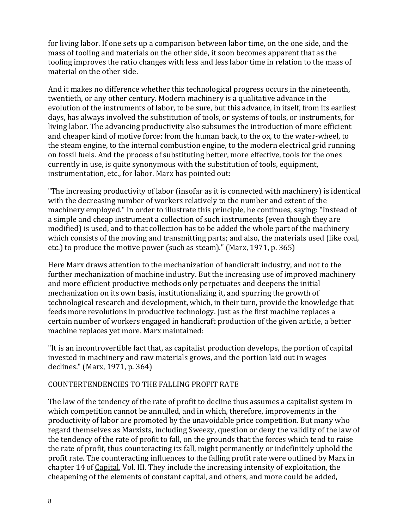for living labor. If one sets up a comparison between labor time, on the one side, and the mass of tooling and materials on the other side, it soon becomes apparent that as the tooling improves the ratio changes with less and less labor time in relation to the mass of material on the other side.

And it makes no difference whether this technological progress occurs in the nineteenth, twentieth, or any other century. Modern machinery is a qualitative advance in the evolution of the instruments of labor, to be sure, but this advance, in itself, from its earliest days, has always involved the substitution of tools, or systems of tools, or instruments, for living labor. The advancing productivity also subsumes the introduction of more efficient and cheaper kind of motive force: from the human back, to the ox, to the water-wheel, to the steam engine, to the internal combustion engine, to the modern electrical grid running on fossil fuels. And the process of substituting better, more effective, tools for the ones currently in use, is quite synonymous with the substitution of tools, equipment, instrumentation, etc., for labor. Marx has pointed out:

"The increasing productivity of labor (insofar as it is connected with machinery) is identical with the decreasing number of workers relatively to the number and extent of the machinery employed." In order to illustrate this principle, he continues, saying: "Instead of a simple and cheap instrument a collection of such instruments (even though they are modified) is used, and to that collection has to be added the whole part of the machinery which consists of the moving and transmitting parts; and also, the materials used (like coal, etc.) to produce the motive power (such as steam)." (Marx, 1971, p. 365)

Here Marx draws attention to the mechanization of handicraft industry, and not to the further mechanization of machine industry. But the increasing use of improved machinery and more efficient productive methods only perpetuates and deepens the initial mechanization on its own basis, institutionalizing it, and spurring the growth of technological research and development, which, in their turn, provide the knowledge that feeds more revolutions in productive technology. Just as the first machine replaces a certain number of workers engaged in handicraft production of the given article, a better machine replaces yet more. Marx maintained:

"It is an incontrovertible fact that, as capitalist production develops, the portion of capital invested in machinery and raw materials grows, and the portion laid out in wages declines." (Marx, 1971, p. 364)

#### COUNTERTENDENCIES TO THE FALLING PROFIT RATE

The law of the tendency of the rate of profit to decline thus assumes a capitalist system in which competition cannot be annulled, and in which, therefore, improvements in the productivity of labor are promoted by the unavoidable price competition. But many who regard themselves as Marxists, including Sweezy, question or deny the validity of the law of the tendency of the rate of profit to fall, on the grounds that the forces which tend to raise the rate of profit, thus counteracting its fall, might permanently or indefinitely uphold the profit rate. The counteracting influences to the falling profit rate were outlined by Marx in chapter 14 of Capital, Vol. III. They include the increasing intensity of exploitation, the cheapening of the elements of constant capital, and others, and more could be added,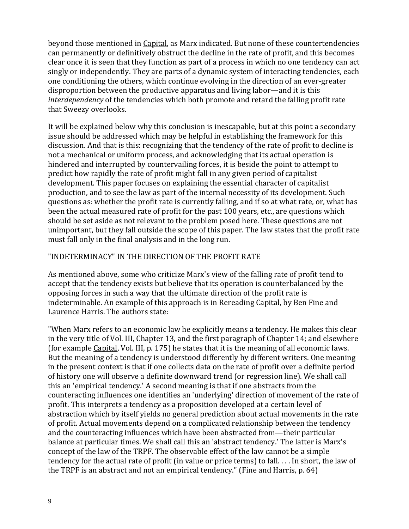beyond those mentioned in Capital, as Marx indicated. But none of these countertendencies can permanently or definitively obstruct the decline in the rate of profit, and this becomes clear once it is seen that they function as part of a process in which no one tendency can act singly or independently. They are parts of a dynamic system of interacting tendencies, each one conditioning the others, which continue evolving in the direction of an ever-greater disproportion between the productive apparatus and living labor—and it is this *interdependency* of the tendencies which both promote and retard the falling profit rate that Sweezy overlooks.

It will be explained below why this conclusion is inescapable, but at this point a secondary issue should be addressed which may be helpful in establishing the framework for this discussion. And that is this: recognizing that the tendency of the rate of profit to decline is not a mechanical or uniform process, and acknowledging that its actual operation is hindered and interrupted by countervailing forces, it is beside the point to attempt to predict how rapidly the rate of profit might fall in any given period of capitalist development. This paper focuses on explaining the essential character of capitalist production, and to see the law as part of the internal necessity of its development. Such questions as: whether the profit rate is currently falling, and if so at what rate, or, what has been the actual measured rate of profit for the past 100 years, etc., are questions which should be set aside as not relevant to the problem posed here. These questions are not unimportant, but they fall outside the scope of this paper. The law states that the profit rate must fall only in the final analysis and in the long run.

### "INDETERMINACY" IN THE DIRECTION OF THE PROFIT RATE

As mentioned above, some who criticize Marx's view of the falling rate of profit tend to accept that the tendency exists but believe that its operation is counterbalanced by the opposing forces in such a way that the ultimate direction of the profit rate is indeterminable. An example of this approach is in Rereading Capital, by Ben Fine and Laurence Harris. The authors state:

"When Marx refers to an economic law he explicitly means a tendency. He makes this clear in the very title of Vol. III, Chapter 13, and the first paragraph of Chapter 14; and elsewhere (for example Capital, Vol. III, p. 175) he states that it is the meaning of all economic laws. But the meaning of a tendency is understood differently by different writers. One meaning in the present context is that if one collects data on the rate of profit over a definite period of history one will observe a definite downward trend (or regression line). We shall call this an 'empirical tendency.' A second meaning is that if one abstracts from the counteracting influences one identifies an 'underlying' direction of movement of the rate of profit. This interprets a tendency as a proposition developed at a certain level of abstraction which by itself yields no general prediction about actual movements in the rate of profit. Actual movements depend on a complicated relationship between the tendency and the counteracting influences which have been abstracted from—their particular balance at particular times. We shall call this an 'abstract tendency.' The latter is Marx's concept of the law of the TRPF. The observable effect of the law cannot be a simple tendency for the actual rate of profit (in value or price terms) to fall. . . . In short, the law of the TRPF is an abstract and not an empirical tendency." (Fine and Harris, p. 64)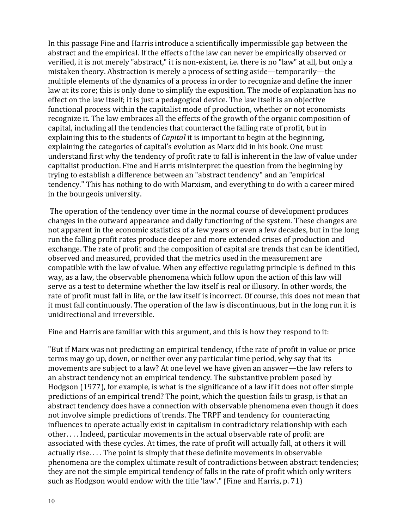In this passage Fine and Harris introduce a scientifically impermissible gap between the abstract and the empirical. If the effects of the law can never be empirically observed or verified, it is not merely "abstract," it is non-existent, i.e. there is no "law" at all, but only a mistaken theory. Abstraction is merely a process of setting aside—temporarily—the multiple elements of the dynamics of a process in order to recognize and define the inner law at its core; this is only done to simplify the exposition. The mode of explanation has no effect on the law itself; it is just a pedagogical device. The law itself is an objective functional process within the capitalist mode of production, whether or not economists recognize it. The law embraces all the effects of the growth of the organic composition of capital, including all the tendencies that counteract the falling rate of profit, but in explaining this to the students of *Capital* it is important to begin at the beginning, explaining the categories of capital's evolution as Marx did in his book. One must understand first why the tendency of profit rate to fall is inherent in the law of value under capitalist production. Fine and Harris misinterpret the question from the beginning by trying to establish a difference between an "abstract tendency" and an "empirical tendency." This has nothing to do with Marxism, and everything to do with a career mired in the bourgeois university.

The operation of the tendency over time in the normal course of development produces changes in the outward appearance and daily functioning of the system. These changes are not apparent in the economic statistics of a few years or even a few decades, but in the long run the falling profit rates produce deeper and more extended crises of production and exchange. The rate of profit and the composition of capital are trends that can be identified, observed and measured, provided that the metrics used in the measurement are compatible with the law of value. When any effective regulating principle is defined in this way, as a law, the observable phenomena which follow upon the action of this law will serve as a test to determine whether the law itself is real or illusory. In other words, the rate of profit must fall in life, or the law itself is incorrect. Of course, this does not mean that it must fall continuously. The operation of the law is discontinuous, but in the long run it is unidirectional and irreversible.

Fine and Harris are familiar with this argument, and this is how they respond to it:

"But if Marx was not predicting an empirical tendency, if the rate of profit in value or price terms may go up, down, or neither over any particular time period, why say that its movements are subject to a law? At one level we have given an answer—the law refers to an abstract tendency not an empirical tendency. The substantive problem posed by Hodgson (1977), for example, is what is the significance of a law if it does not offer simple predictions of an empirical trend? The point, which the question fails to grasp, is that an abstract tendency does have a connection with observable phenomena even though it does not involve simple predictions of trends. The TRPF and tendency for counteracting influences to operate actually exist in capitalism in contradictory relationship with each other. . . . Indeed, particular movements in the actual observable rate of profit are associated with these cycles. At times, the rate of profit will actually fall, at others it will actually rise. . . . The point is simply that these definite movements in observable phenomena are the complex ultimate result of contradictions between abstract tendencies; they are not the simple empirical tendency of falls in the rate of profit which only writers such as Hodgson would endow with the title 'law'." (Fine and Harris, p. 71)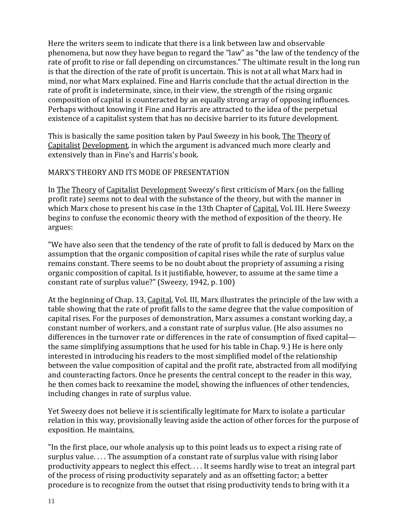Here the writers seem to indicate that there is a link between law and observable phenomena, but now they have begun to regard the "law" as "the law of the tendency of the rate of profit to rise or fall depending on circumstances." The ultimate result in the long run is that the direction of the rate of profit is uncertain. This is not at all what Marx had in mind, nor what Marx explained. Fine and Harris conclude that the actual direction in the rate of profit is indeterminate, since, in their view, the strength of the rising organic composition of capital is counteracted by an equally strong array of opposing influences. Perhaps without knowing it Fine and Harris are attracted to the idea of the perpetual existence of a capitalist system that has no decisive barrier to its future development.

This is basically the same position taken by Paul Sweezy in his book, The Theory of Capitalist Development, in which the argument is advanced much more clearly and extensively than in Fine's and Harris's book.

#### MARX'S THEORY AND ITS MODE OF PRESENTATION

In The Theory of Capitalist Development Sweezy's first criticism of Marx (on the falling profit rate) seems not to deal with the substance of the theory, but with the manner in which Marx chose to present his case in the 13th Chapter of Capital, Vol. III. Here Sweezy begins to confuse the economic theory with the method of exposition of the theory. He argues:

"We have also seen that the tendency of the rate of profit to fall is deduced by Marx on the assumption that the organic composition of capital rises while the rate of surplus value remains constant. There seems to be no doubt about the propriety of assuming a rising organic composition of capital. Is it justifiable, however, to assume at the same time a constant rate of surplus value?" (Sweezy, 1942, p. 100)

At the beginning of Chap. 13, Capital, Vol. III, Marx illustrates the principle of the law with a table showing that the rate of profit falls to the same degree that the value composition of capital rises. For the purposes of demonstration, Marx assumes a constant working day, a constant number of workers, and a constant rate of surplus value. (He also assumes no differences in the turnover rate or differences in the rate of consumption of fixed capital the same simplifying assumptions that he used for his table in Chap. 9.) He is here only interested in introducing his readers to the most simplified model of the relationship between the value composition of capital and the profit rate, abstracted from all modifying and counteracting factors. Once he presents the central concept to the reader in this way, he then comes back to reexamine the model, showing the influences of other tendencies, including changes in rate of surplus value.

Yet Sweezy does not believe it is scientifically legitimate for Marx to isolate a particular relation in this way, provisionally leaving aside the action of other forces for the purpose of exposition. He maintains,

"In the first place, our whole analysis up to this point leads us to expect a rising rate of surplus value. . . . The assumption of a constant rate of surplus value with rising labor productivity appears to neglect this effect. . . . It seems hardly wise to treat an integral part of the process of rising productivity separately and as an offsetting factor; a better procedure is to recognize from the outset that rising productivity tends to bring with it a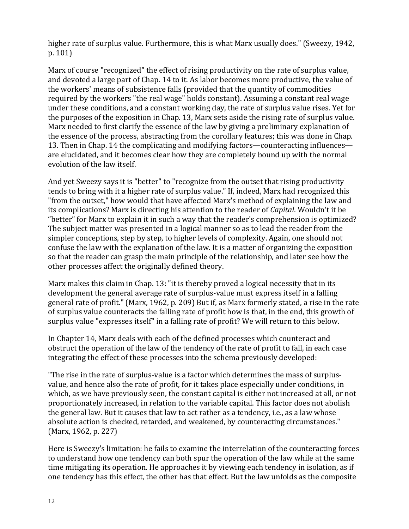higher rate of surplus value. Furthermore, this is what Marx usually does." (Sweezy, 1942, p. 101)

Marx of course "recognized" the effect of rising productivity on the rate of surplus value, and devoted a large part of Chap. 14 to it. As labor becomes more productive, the value of the workers' means of subsistence falls (provided that the quantity of commodities required by the workers "the real wage" holds constant). Assuming a constant real wage under these conditions, and a constant working day, the rate of surplus value rises. Yet for the purposes of the exposition in Chap. 13, Marx sets aside the rising rate of surplus value. Marx needed to first clarify the essence of the law by giving a preliminary explanation of the essence of the process, abstracting from the corollary features; this was done in Chap. 13. Then in Chap. 14 the complicating and modifying factors—counteracting influences are elucidated, and it becomes clear how they are completely bound up with the normal evolution of the law itself.

And yet Sweezy says it is "better" to "recognize from the outset that rising productivity tends to bring with it a higher rate of surplus value." If, indeed, Marx had recognized this "from the outset," how would that have affected Marx's method of explaining the law and its complications? Marx is directing his attention to the reader of *Capital*. Wouldn't it be "better" for Marx to explain it in such a way that the reader's comprehension is optimized? The subject matter was presented in a logical manner so as to lead the reader from the simpler conceptions, step by step, to higher levels of complexity. Again, one should not confuse the law with the explanation of the law. It is a matter of organizing the exposition so that the reader can grasp the main principle of the relationship, and later see how the other processes affect the originally defined theory.

Marx makes this claim in Chap. 13: "it is thereby proved a logical necessity that in its development the general average rate of surplus-value must express itself in a falling general rate of profit." (Marx, 1962, p. 209) But if, as Marx formerly stated, a rise in the rate of surplus value counteracts the falling rate of profit how is that, in the end, this growth of surplus value "expresses itself" in a falling rate of profit? We will return to this below.

In Chapter 14, Marx deals with each of the defined processes which counteract and obstruct the operation of the law of the tendency of the rate of profit to fall, in each case integrating the effect of these processes into the schema previously developed:

"The rise in the rate of surplus-value is a factor which determines the mass of surplusvalue, and hence also the rate of profit, for it takes place especially under conditions, in which, as we have previously seen, the constant capital is either not increased at all, or not proportionately increased, in relation to the variable capital. This factor does not abolish the general law. But it causes that law to act rather as a tendency, i.e., as a law whose absolute action is checked, retarded, and weakened, by counteracting circumstances." (Marx, 1962, p. 227)

Here is Sweezy's limitation: he fails to examine the interrelation of the counteracting forces to understand how one tendency can both spur the operation of the law while at the same time mitigating its operation. He approaches it by viewing each tendency in isolation, as if one tendency has this effect, the other has that effect. But the law unfolds as the composite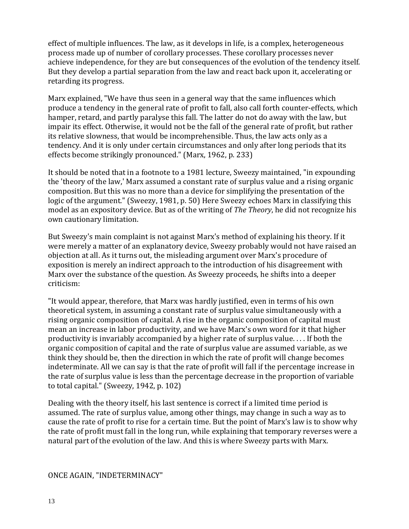effect of multiple influences. The law, as it develops in life, is a complex, heterogeneous process made up of number of corollary processes. These corollary processes never achieve independence, for they are but consequences of the evolution of the tendency itself. But they develop a partial separation from the law and react back upon it, accelerating or retarding its progress.

Marx explained, "We have thus seen in a general way that the same influences which produce a tendency in the general rate of profit to fall, also call forth counter-effects, which hamper, retard, and partly paralyse this fall. The latter do not do away with the law, but impair its effect. Otherwise, it would not be the fall of the general rate of profit, but rather its relative slowness, that would be incomprehensible. Thus, the law acts only as a tendency. And it is only under certain circumstances and only after long periods that its effects become strikingly pronounced." (Marx, 1962, p. 233)

It should be noted that in a footnote to a 1981 lecture, Sweezy maintained, "in expounding the 'theory of the law,' Marx assumed a constant rate of surplus value and a rising organic composition. But this was no more than a device for simplifying the presentation of the logic of the argument." (Sweezy, 1981, p. 50) Here Sweezy echoes Marx in classifying this model as an expository device. But as of the writing of *The Theory*, he did not recognize his own cautionary limitation.

But Sweezy's main complaint is not against Marx's method of explaining his theory. If it were merely a matter of an explanatory device, Sweezy probably would not have raised an objection at all. As it turns out, the misleading argument over Marx's procedure of exposition is merely an indirect approach to the introduction of his disagreement with Marx over the substance of the question. As Sweezy proceeds, he shifts into a deeper criticism:

"It would appear, therefore, that Marx was hardly justified, even in terms of his own theoretical system, in assuming a constant rate of surplus value simultaneously with a rising organic composition of capital. A rise in the organic composition of capital must mean an increase in labor productivity, and we have Marx's own word for it that higher productivity is invariably accompanied by a higher rate of surplus value. . . . If both the organic composition of capital and the rate of surplus value are assumed variable, as we think they should be, then the direction in which the rate of profit will change becomes indeterminate. All we can say is that the rate of profit will fall if the percentage increase in the rate of surplus value is less than the percentage decrease in the proportion of variable to total capital." (Sweezy, 1942, p. 102)

Dealing with the theory itself, his last sentence is correct if a limited time period is assumed. The rate of surplus value, among other things, may change in such a way as to cause the rate of profit to rise for a certain time. But the point of Marx's law is to show why the rate of profit must fall in the long run, while explaining that temporary reverses were a natural part of the evolution of the law. And this is where Sweezy parts with Marx.

#### ONCE AGAIN, "INDETERMINACY"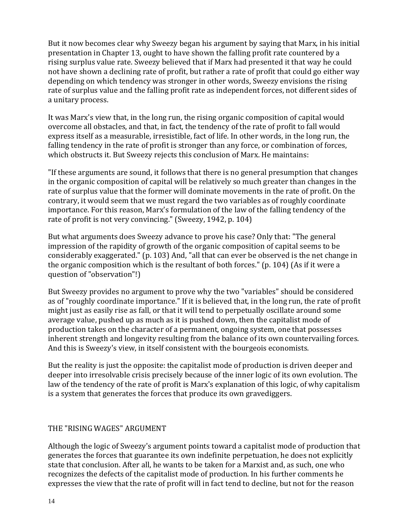But it now becomes clear why Sweezy began his argument by saying that Marx, in his initial presentation in Chapter 13, ought to have shown the falling profit rate countered by a rising surplus value rate. Sweezy believed that if Marx had presented it that way he could not have shown a declining rate of profit, but rather a rate of profit that could go either way depending on which tendency was stronger in other words, Sweezy envisions the rising rate of surplus value and the falling profit rate as independent forces, not different sides of a unitary process.

It was Marx's view that, in the long run, the rising organic composition of capital would overcome all obstacles, and that, in fact, the tendency of the rate of profit to fall would express itself as a measurable, irresistible, fact of life. In other words, in the long run, the falling tendency in the rate of profit is stronger than any force, or combination of forces, which obstructs it. But Sweezy rejects this conclusion of Marx. He maintains:

"If these arguments are sound, it follows that there is no general presumption that changes in the organic composition of capital will be relatively so much greater than changes in the rate of surplus value that the former will dominate movements in the rate of profit. On the contrary, it would seem that we must regard the two variables as of roughly coordinate importance. For this reason, Marx's formulation of the law of the falling tendency of the rate of profit is not very convincing." (Sweezy, 1942, p. 104)

But what arguments does Sweezy advance to prove his case? Only that: "The general impression of the rapidity of growth of the organic composition of capital seems to be considerably exaggerated." (p. 103) And, "all that can ever be observed is the net change in the organic composition which is the resultant of both forces." (p. 104) (As if it were a question of "observation"!)

But Sweezy provides no argument to prove why the two "variables" should be considered as of "roughly coordinate importance." If it is believed that, in the long run, the rate of profit might just as easily rise as fall, or that it will tend to perpetually oscillate around some average value, pushed up as much as it is pushed down, then the capitalist mode of production takes on the character of a permanent, ongoing system, one that possesses inherent strength and longevity resulting from the balance of its own countervailing forces. And this is Sweezy's view, in itself consistent with the bourgeois economists.

But the reality is just the opposite: the capitalist mode of production is driven deeper and deeper into irresolvable crisis precisely because of the inner logic of its own evolution. The law of the tendency of the rate of profit is Marx's explanation of this logic, of why capitalism is a system that generates the forces that produce its own gravediggers.

#### THE "RISING WAGES" ARGUMENT

Although the logic of Sweezy's argument points toward a capitalist mode of production that generates the forces that guarantee its own indefinite perpetuation, he does not explicitly state that conclusion. After all, he wants to be taken for a Marxist and, as such, one who recognizes the defects of the capitalist mode of production. In his further comments he expresses the view that the rate of profit will in fact tend to decline, but not for the reason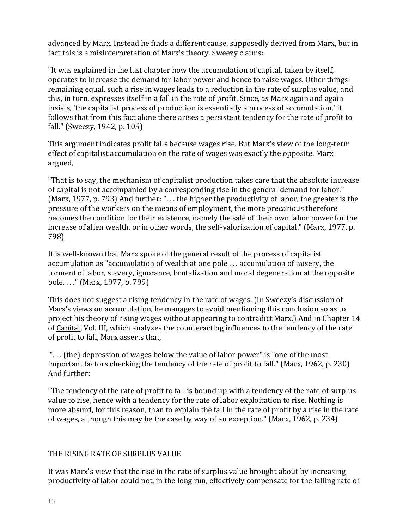advanced by Marx. Instead he finds a different cause, supposedly derived from Marx, but in fact this is a misinterpretation of Marx's theory. Sweezy claims:

"It was explained in the last chapter how the accumulation of capital, taken by itself, operates to increase the demand for labor power and hence to raise wages. Other things remaining equal, such a rise in wages leads to a reduction in the rate of surplus value, and this, in turn, expresses itself in a fall in the rate of profit. Since, as Marx again and again insists, 'the capitalist process of production is essentially a process of accumulation,' it follows that from this fact alone there arises a persistent tendency for the rate of profit to fall." (Sweezy, 1942, p. 105)

This argument indicates profit falls because wages rise. But Marx's view of the long-term effect of capitalist accumulation on the rate of wages was exactly the opposite. Marx argued,

"That is to say, the mechanism of capitalist production takes care that the absolute increase of capital is not accompanied by a corresponding rise in the general demand for labor." (Marx, 1977, p. 793) And further: ". . . the higher the productivity of labor, the greater is the pressure of the workers on the means of employment, the more precarious therefore becomes the condition for their existence, namely the sale of their own labor power for the increase of alien wealth, or in other words, the self-valorization of capital." (Marx, 1977, p. 798)

It is well-known that Marx spoke of the general result of the process of capitalist accumulation as "accumulation of wealth at one pole . . . accumulation of misery, the torment of labor, slavery, ignorance, brutalization and moral degeneration at the opposite pole. . . ." (Marx, 1977, p. 799)

This does not suggest a rising tendency in the rate of wages. (In Sweezy's discussion of Marx's views on accumulation, he manages to avoid mentioning this conclusion so as to project his theory of rising wages without appearing to contradict Marx.) And in Chapter 14 of Capital, Vol. III, which analyzes the counteracting influences to the tendency of the rate of profit to fall, Marx asserts that,

". . . (the) depression of wages below the value of labor power" is "one of the most important factors checking the tendency of the rate of profit to fall." (Marx, 1962, p. 230) And further:

"The tendency of the rate of profit to fall is bound up with a tendency of the rate of surplus value to rise, hence with a tendency for the rate of labor exploitation to rise. Nothing is more absurd, for this reason, than to explain the fall in the rate of profit by a rise in the rate of wages, although this may be the case by way of an exception." (Marx, 1962, p. 234)

## THE RISING RATE OF SURPLUS VALUE

It was Marx's view that the rise in the rate of surplus value brought about by increasing productivity of labor could not, in the long run, effectively compensate for the falling rate of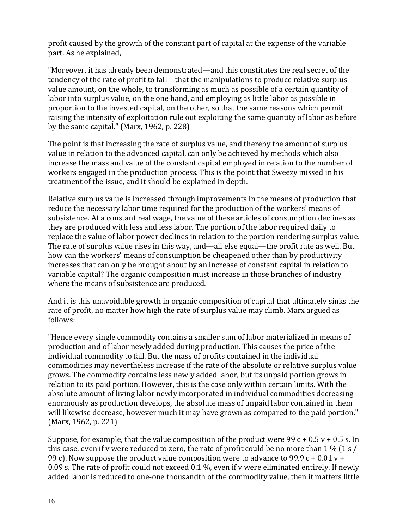profit caused by the growth of the constant part of capital at the expense of the variable part. As he explained,

"Moreover, it has already been demonstrated—and this constitutes the real secret of the tendency of the rate of profit to fall—that the manipulations to produce relative surplus value amount, on the whole, to transforming as much as possible of a certain quantity of labor into surplus value, on the one hand, and employing as little labor as possible in proportion to the invested capital, on the other, so that the same reasons which permit raising the intensity of exploitation rule out exploiting the same quantity of labor as before by the same capital." (Marx, 1962, p. 228)

The point is that increasing the rate of surplus value, and thereby the amount of surplus value in relation to the advanced capital, can only be achieved by methods which also increase the mass and value of the constant capital employed in relation to the number of workers engaged in the production process. This is the point that Sweezy missed in his treatment of the issue, and it should be explained in depth.

Relative surplus value is increased through improvements in the means of production that reduce the necessary labor time required for the production of the workers' means of subsistence. At a constant real wage, the value of these articles of consumption declines as they are produced with less and less labor. The portion of the labor required daily to replace the value of labor power declines in relation to the portion rendering surplus value. The rate of surplus value rises in this way, and—all else equal—the profit rate as well. But how can the workers' means of consumption be cheapened other than by productivity increases that can only be brought about by an increase of constant capital in relation to variable capital? The organic composition must increase in those branches of industry where the means of subsistence are produced.

And it is this unavoidable growth in organic composition of capital that ultimately sinks the rate of profit, no matter how high the rate of surplus value may climb. Marx argued as follows:

"Hence every single commodity contains a smaller sum of labor materialized in means of production and of labor newly added during production. This causes the price of the individual commodity to fall. But the mass of profits contained in the individual commodities may nevertheless increase if the rate of the absolute or relative surplus value grows. The commodity contains less newly added labor, but its unpaid portion grows in relation to its paid portion. However, this is the case only within certain limits. With the absolute amount of living labor newly incorporated in individual commodities decreasing enormously as production develops, the absolute mass of unpaid labor contained in them will likewise decrease, however much it may have grown as compared to the paid portion." (Marx, 1962, p. 221)

Suppose, for example, that the value composition of the product were 99  $c + 0.5 v + 0.5 s$ . In this case, even if v were reduced to zero, the rate of profit could be no more than  $1\%$  (1 s / 99 c). Now suppose the product value composition were to advance to 99.9 c + 0.01 v + 0.09 s. The rate of profit could not exceed 0.1 %, even if v were eliminated entirely. If newly added labor is reduced to one-one thousandth of the commodity value, then it matters little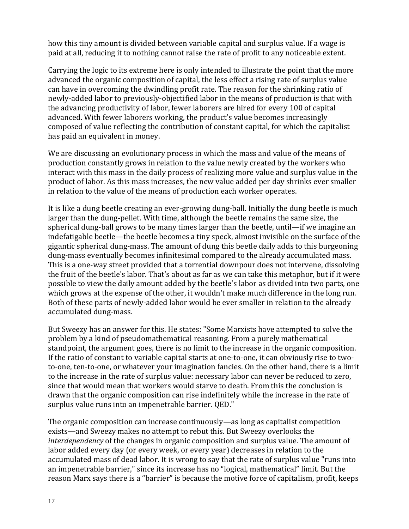how this tiny amount is divided between variable capital and surplus value. If a wage is paid at all, reducing it to nothing cannot raise the rate of profit to any noticeable extent.

Carrying the logic to its extreme here is only intended to illustrate the point that the more advanced the organic composition of capital, the less effect a rising rate of surplus value can have in overcoming the dwindling profit rate. The reason for the shrinking ratio of newly-added labor to previously-objectified labor in the means of production is that with the advancing productivity of labor, fewer laborers are hired for every 100 of capital advanced. With fewer laborers working, the product's value becomes increasingly composed of value reflecting the contribution of constant capital, for which the capitalist has paid an equivalent in money.

We are discussing an evolutionary process in which the mass and value of the means of production constantly grows in relation to the value newly created by the workers who interact with this mass in the daily process of realizing more value and surplus value in the product of labor. As this mass increases, the new value added per day shrinks ever smaller in relation to the value of the means of production each worker operates.

It is like a dung beetle creating an ever-growing dung-ball. Initially the dung beetle is much larger than the dung-pellet. With time, although the beetle remains the same size, the spherical dung-ball grows to be many times larger than the beetle, until—if we imagine an indefatigable beetle—the beetle becomes a tiny speck, almost invisible on the surface of the gigantic spherical dung-mass. The amount of dung this beetle daily adds to this burgeoning dung-mass eventually becomes infinitesimal compared to the already accumulated mass. This is a one-way street provided that a torrential downpour does not intervene, dissolving the fruit of the beetle's labor. That's about as far as we can take this metaphor, but if it were possible to view the daily amount added by the beetle's labor as divided into two parts, one which grows at the expense of the other, it wouldn't make much difference in the long run. Both of these parts of newly-added labor would be ever smaller in relation to the already accumulated dung-mass.

But Sweezy has an answer for this. He states: "Some Marxists have attempted to solve the problem by a kind of pseudomathematical reasoning. From a purely mathematical standpoint, the argument goes, there is no limit to the increase in the organic composition. If the ratio of constant to variable capital starts at one-to-one, it can obviously rise to twoto-one, ten-to-one, or whatever your imagination fancies. On the other hand, there is a limit to the increase in the rate of surplus value: necessary labor can never be reduced to zero, since that would mean that workers would starve to death. From this the conclusion is drawn that the organic composition can rise indefinitely while the increase in the rate of surplus value runs into an impenetrable barrier. QED."

The organic composition can increase continuously—as long as capitalist competition exists—and Sweezy makes no attempt to rebut this. But Sweezy overlooks the *interdependency* of the changes in organic composition and surplus value. The amount of labor added every day (or every week, or every year) decreases in relation to the accumulated mass of dead labor. It is wrong to say that the rate of surplus value "runs into an impenetrable barrier," since its increase has no "logical, mathematical" limit. But the reason Marx says there is a "barrier" is because the motive force of capitalism, profit, keeps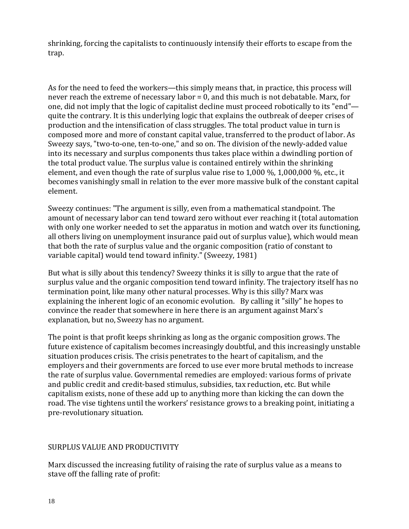shrinking, forcing the capitalists to continuously intensify their efforts to escape from the trap.

As for the need to feed the workers—this simply means that, in practice, this process will never reach the extreme of necessary labor = 0, and this much is not debatable. Marx, for one, did not imply that the logic of capitalist decline must proceed robotically to its "end" quite the contrary. It is this underlying logic that explains the outbreak of deeper crises of production and the intensification of class struggles. The total product value in turn is composed more and more of constant capital value, transferred to the product of labor. As Sweezy says, "two-to-one, ten-to-one," and so on. The division of the newly-added value into its necessary and surplus components thus takes place within a dwindling portion of the total product value. The surplus value is contained entirely within the shrinking element, and even though the rate of surplus value rise to 1,000 %, 1,000,000 %, etc., it becomes vanishingly small in relation to the ever more massive bulk of the constant capital element.

Sweezy continues: "The argument is silly, even from a mathematical standpoint. The amount of necessary labor can tend toward zero without ever reaching it (total automation with only one worker needed to set the apparatus in motion and watch over its functioning, all others living on unemployment insurance paid out of surplus value), which would mean that both the rate of surplus value and the organic composition (ratio of constant to variable capital) would tend toward infinity." (Sweezy, 1981)

But what is silly about this tendency? Sweezy thinks it is silly to argue that the rate of surplus value and the organic composition tend toward infinity. The trajectory itself has no termination point, like many other natural processes. Why is this silly? Marx was explaining the inherent logic of an economic evolution. By calling it "silly" he hopes to convince the reader that somewhere in here there is an argument against Marx's explanation, but no, Sweezy has no argument.

The point is that profit keeps shrinking as long as the organic composition grows. The future existence of capitalism becomes increasingly doubtful, and this increasingly unstable situation produces crisis. The crisis penetrates to the heart of capitalism, and the employers and their governments are forced to use ever more brutal methods to increase the rate of surplus value. Governmental remedies are employed: various forms of private and public credit and credit-based stimulus, subsidies, tax reduction, etc. But while capitalism exists, none of these add up to anything more than kicking the can down the road. The vise tightens until the workers' resistance grows to a breaking point, initiating a pre-revolutionary situation.

## SURPLUS VALUE AND PRODUCTIVITY

Marx discussed the increasing futility of raising the rate of surplus value as a means to stave off the falling rate of profit: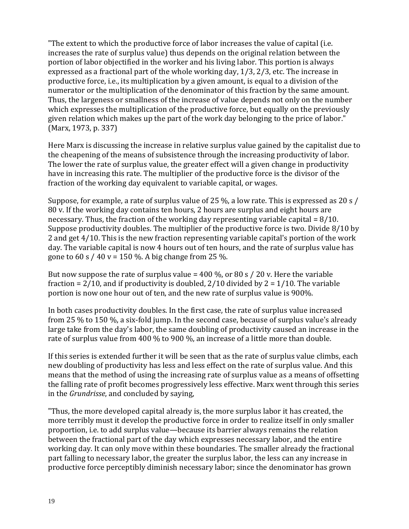"The extent to which the productive force of labor increases the value of capital (i.e. increases the rate of surplus value) thus depends on the original relation between the portion of labor objectified in the worker and his living labor. This portion is always expressed as a fractional part of the whole working day, 1/3, 2/3, etc. The increase in productive force, i.e., its multiplication by a given amount, is equal to a division of the numerator or the multiplication of the denominator of this fraction by the same amount. Thus, the largeness or smallness of the increase of value depends not only on the number which expresses the multiplication of the productive force, but equally on the previously given relation which makes up the part of the work day belonging to the price of labor." (Marx, 1973, p. 337)

Here Marx is discussing the increase in relative surplus value gained by the capitalist due to the cheapening of the means of subsistence through the increasing productivity of labor. The lower the rate of surplus value, the greater effect will a given change in productivity have in increasing this rate. The multiplier of the productive force is the divisor of the fraction of the working day equivalent to variable capital, or wages.

Suppose, for example, a rate of surplus value of 25 %, a low rate. This is expressed as 20 s / 80 v. If the working day contains ten hours, 2 hours are surplus and eight hours are necessary. Thus, the fraction of the working day representing variable capital  $= 8/10$ . Suppose productivity doubles. The multiplier of the productive force is two. Divide 8/10 by 2 and get 4/10. This is the new fraction representing variable capital's portion of the work day. The variable capital is now 4 hours out of ten hours, and the rate of surplus value has gone to 60 s / 40 v = 150 %. A big change from 25 %.

But now suppose the rate of surplus value =  $400\%$ , or 80 s / 20 v. Here the variable fraction =  $2/10$ , and if productivity is doubled,  $2/10$  divided by  $2 = 1/10$ . The variable portion is now one hour out of ten, and the new rate of surplus value is 900%.

In both cases productivity doubles. In the first case, the rate of surplus value increased from 25 % to 150 %, a six-fold jump. In the second case, because of surplus value's already large take from the day's labor, the same doubling of productivity caused an increase in the rate of surplus value from 400 % to 900 %, an increase of a little more than double.

If this series is extended further it will be seen that as the rate of surplus value climbs, each new doubling of productivity has less and less effect on the rate of surplus value. And this means that the method of using the increasing rate of surplus value as a means of offsetting the falling rate of profit becomes progressively less effective. Marx went through this series in the *Grundrisse*, and concluded by saying,

"Thus, the more developed capital already is, the more surplus labor it has created, the more terribly must it develop the productive force in order to realize itself in only smaller proportion, i.e. to add surplus value—because its barrier always remains the relation between the fractional part of the day which expresses necessary labor, and the entire working day. It can only move within these boundaries. The smaller already the fractional part falling to necessary labor, the greater the surplus labor, the less can any increase in productive force perceptibly diminish necessary labor; since the denominator has grown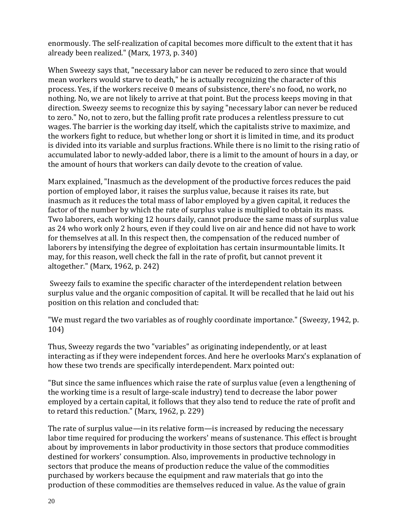enormously. The self-realization of capital becomes more difficult to the extent that it has already been realized." (Marx, 1973, p. 340)

When Sweezy says that, "necessary labor can never be reduced to zero since that would mean workers would starve to death," he is actually recognizing the character of this process. Yes, if the workers receive 0 means of subsistence, there's no food, no work, no nothing. No, we are not likely to arrive at that point. But the process keeps moving in that direction. Sweezy seems to recognize this by saying "necessary labor can never be reduced to zero." No, not to zero, but the falling profit rate produces a relentless pressure to cut wages. The barrier is the working day itself, which the capitalists strive to maximize, and the workers fight to reduce, but whether long or short it is limited in time, and its product is divided into its variable and surplus fractions. While there is no limit to the rising ratio of accumulated labor to newly-added labor, there is a limit to the amount of hours in a day, or the amount of hours that workers can daily devote to the creation of value.

Marx explained, "Inasmuch as the development of the productive forces reduces the paid portion of employed labor, it raises the surplus value, because it raises its rate, but inasmuch as it reduces the total mass of labor employed by a given capital, it reduces the factor of the number by which the rate of surplus value is multiplied to obtain its mass. Two laborers, each working 12 hours daily, cannot produce the same mass of surplus value as 24 who work only 2 hours, even if they could live on air and hence did not have to work for themselves at all. In this respect then, the compensation of the reduced number of laborers by intensifying the degree of exploitation has certain insurmountable limits. It may, for this reason, well check the fall in the rate of profit, but cannot prevent it altogether." (Marx, 1962, p. 242)

Sweezy fails to examine the specific character of the interdependent relation between surplus value and the organic composition of capital. It will be recalled that he laid out his position on this relation and concluded that:

"We must regard the two variables as of roughly coordinate importance." (Sweezy, 1942, p. 104)

Thus, Sweezy regards the two "variables" as originating independently, or at least interacting as if they were independent forces. And here he overlooks Marx's explanation of how these two trends are specifically interdependent. Marx pointed out:

"But since the same influences which raise the rate of surplus value (even a lengthening of the working time is a result of large-scale industry) tend to decrease the labor power employed by a certain capital, it follows that they also tend to reduce the rate of profit and to retard this reduction." (Marx, 1962, p. 229)

The rate of surplus value—in its relative form—is increased by reducing the necessary labor time required for producing the workers' means of sustenance. This effect is brought about by improvements in labor productivity in those sectors that produce commodities destined for workers' consumption. Also, improvements in productive technology in sectors that produce the means of production reduce the value of the commodities purchased by workers because the equipment and raw materials that go into the production of these commodities are themselves reduced in value. As the value of grain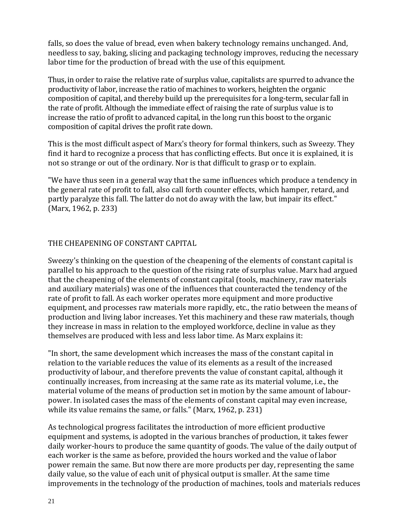falls, so does the value of bread, even when bakery technology remains unchanged. And, needless to say, baking, slicing and packaging technology improves, reducing the necessary labor time for the production of bread with the use of this equipment.

Thus, in order to raise the relative rate of surplus value, capitalists are spurred to advance the productivity of labor, increase the ratio of machines to workers, heighten the organic composition of capital, and thereby build up the prerequisites for a long-term, secular fall in the rate of profit. Although the immediate effect of raising the rate of surplus value is to increase the ratio of profit to advanced capital, in the long run this boost to the organic composition of capital drives the profit rate down.

This is the most difficult aspect of Marx's theory for formal thinkers, such as Sweezy. They find it hard to recognize a process that has conflicting effects. But once it is explained, it is not so strange or out of the ordinary. Nor is that difficult to grasp or to explain.

"We have thus seen in a general way that the same influences which produce a tendency in the general rate of profit to fall, also call forth counter effects, which hamper, retard, and partly paralyze this fall. The latter do not do away with the law, but impair its effect." (Marx, 1962, p. 233)

#### THE CHEAPENING OF CONSTANT CAPITAL

Sweezy's thinking on the question of the cheapening of the elements of constant capital is parallel to his approach to the question of the rising rate of surplus value. Marx had argued that the cheapening of the elements of constant capital (tools, machinery, raw materials and auxiliary materials) was one of the influences that counteracted the tendency of the rate of profit to fall. As each worker operates more equipment and more productive equipment, and processes raw materials more rapidly, etc., the ratio between the means of production and living labor increases. Yet this machinery and these raw materials, though they increase in mass in relation to the employed workforce, decline in value as they themselves are produced with less and less labor time. As Marx explains it:

"In short, the same development which increases the mass of the constant capital in relation to the variable reduces the value of its elements as a result of the increased productivity of labour, and therefore prevents the value of constant capital, although it continually increases, from increasing at the same rate as its material volume, i.e., the material volume of the means of production set in motion by the same amount of labourpower. In isolated cases the mass of the elements of constant capital may even increase, while its value remains the same, or falls." (Marx, 1962, p. 231)

As technological progress facilitates the introduction of more efficient productive equipment and systems, is adopted in the various branches of production, it takes fewer daily worker-hours to produce the same quantity of goods. The value of the daily output of each worker is the same as before, provided the hours worked and the value of labor power remain the same. But now there are more products per day, representing the same daily value, so the value of each unit of physical output is smaller. At the same time improvements in the technology of the production of machines, tools and materials reduces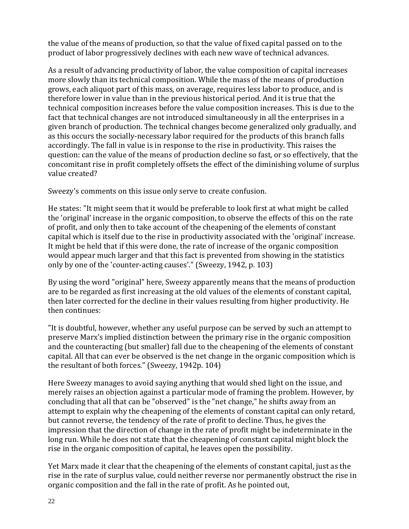the value of the means of production, so that the value of fixed capital passed on to the product of labor progressively declines with each new wave of technical advances.

As a result of advancing productivity of labor, the value composition of capital increases more slowly than its technical composition. While the mass of the means of production grows, each aliquot part of this mass, on average, requires less labor to produce, and is therefore lower in value than in the previous historical period. And it is true that the technical composition increases before the value composition increases. This is due to the fact that technical changes are not introduced simultaneously in all the enterprises in a given branch of production. The technical changes become generalized only gradually, and as this occurs the socially-necessary labor required for the products of this branch falls accordingly. The fall in value is in response to the rise in productivity. This raises the question: can the value of the means of production decline so fast, or so effectively, that the concomitant rise in profit completely offsets the effect of the diminishing volume of surplus value created?

Sweezy's comments on this issue only serve to create confusion.

He states: "It might seem that it would be preferable to look first at what might be called the 'original' increase in the organic composition, to observe the effects of this on the rate of profit, and only then to take account of the cheapening of the elements of constant capital which is itself due to the rise in productivity associated with the 'original' increase. It might be held that if this were done, the rate of increase of the organic composition would appear much larger and that this fact is prevented from showing in the statistics only by one of the 'counter-acting causes'." (Sweezy, 1942, p. 103)

By using the word "original" here, Sweezy apparently means that the means of production are to be regarded as first increasing at the old values of the elements of constant capital, then later corrected for the decline in their values resulting from higher productivity. He then continues:

"It is doubtful, however, whether any useful purpose can be served by such an attempt to preserve Marx's implied distinction between the primary rise in the organic composition and the counteracting (but smaller) fall due to the cheapening of the elements of constant capital. All that can ever be observed is the net change in the organic composition which is the resultant of both forces." (Sweezy, 1942p. 104)

Here Sweezy manages to avoid saying anything that would shed light on the issue, and merely raises an objection against a particular mode of framing the problem. However, by concluding that all that can be "observed" is the "net change," he shifts away from an attempt to explain why the cheapening of the elements of constant capital can only retard, but cannot reverse, the tendency of the rate of profit to decline. Thus, he gives the impression that the direction of change in the rate of profit might be indeterminate in the long run. While he does not state that the cheapening of constant capital might block the rise in the organic composition of capital, he leaves open the possibility.

Yet Marx made it clear that the cheapening of the elements of constant capital, just as the rise in the rate of surplus value, could neither reverse nor permanently obstruct the rise in organic composition and the fall in the rate of profit. As he pointed out,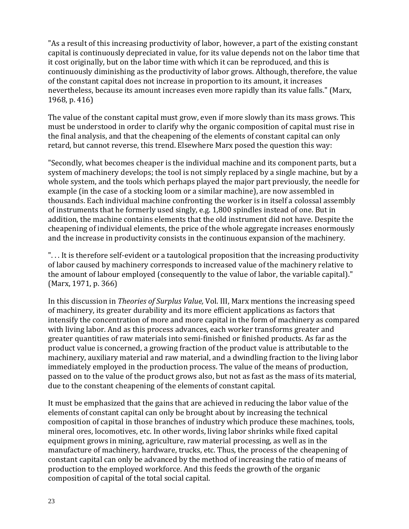"As a result of this increasing productivity of labor, however, a part of the existing constant capital is continuously depreciated in value, for its value depends not on the labor time that it cost originally, but on the labor time with which it can be reproduced, and this is continuously diminishing as the productivity of labor grows. Although, therefore, the value of the constant capital does not increase in proportion to its amount, it increases nevertheless, because its amount increases even more rapidly than its value falls." (Marx, 1968, p. 416)

The value of the constant capital must grow, even if more slowly than its mass grows. This must be understood in order to clarify why the organic composition of capital must rise in the final analysis, and that the cheapening of the elements of constant capital can only retard, but cannot reverse, this trend. Elsewhere Marx posed the question this way:

"Secondly, what becomes cheaper is the individual machine and its component parts, but a system of machinery develops; the tool is not simply replaced by a single machine, but by a whole system, and the tools which perhaps played the major part previously, the needle for example (in the case of a stocking loom or a similar machine), are now assembled in thousands. Each individual machine confronting the worker is in itself a colossal assembly of instruments that he formerly used singly, e.g. 1,800 spindles instead of one. But in addition, the machine contains elements that the old instrument did not have. Despite the cheapening of individual elements, the price of the whole aggregate increases enormously and the increase in productivity consists in the continuous expansion of the machinery.

". . . It is therefore self-evident or a tautological proposition that the increasing productivity of labor caused by machinery corresponds to increased value of the machinery relative to the amount of labour employed (consequently to the value of labor, the variable capital)." (Marx, 1971, p. 366)

In this discussion in *Theories of Surplus Value,* Vol. III, Marx mentions the increasing speed of machinery, its greater durability and its more efficient applications as factors that intensify the concentration of more and more capital in the form of machinery as compared with living labor. And as this process advances, each worker transforms greater and greater quantities of raw materials into semi-finished or finished products. As far as the product value is concerned, a growing fraction of the product value is attributable to the machinery, auxiliary material and raw material, and a dwindling fraction to the living labor immediately employed in the production process. The value of the means of production, passed on to the value of the product grows also, but not as fast as the mass of its material, due to the constant cheapening of the elements of constant capital.

It must be emphasized that the gains that are achieved in reducing the labor value of the elements of constant capital can only be brought about by increasing the technical composition of capital in those branches of industry which produce these machines, tools, mineral ores, locomotives, etc. In other words, living labor shrinks while fixed capital equipment grows in mining, agriculture, raw material processing, as well as in the manufacture of machinery, hardware, trucks, etc. Thus, the process of the cheapening of constant capital can only be advanced by the method of increasing the ratio of means of production to the employed workforce. And this feeds the growth of the organic composition of capital of the total social capital.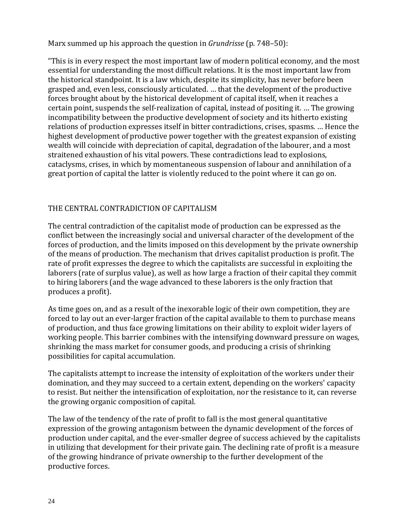Marx summed up his approach the question in *Grundrisse* (p. 748–50):

"This is in every respect the most important law of modern political economy, and the most essential for understanding the most difficult relations. It is the most important law from the historical standpoint. It is a law which, despite its simplicity, has never before been grasped and, even less, consciously articulated. … that the development of the productive forces brought about by the historical development of capital itself, when it reaches a certain point, suspends the self-realization of capital, instead of positing it. … The growing incompatibility between the productive development of society and its hitherto existing relations of production expresses itself in bitter contradictions, crises, spasms. … Hence the highest development of productive power together with the greatest expansion of existing wealth will coincide with depreciation of capital, degradation of the labourer, and a most straitened exhaustion of his vital powers. These contradictions lead to explosions, cataclysms, crises, in which by momentaneous suspension of labour and annihilation of a great portion of capital the latter is violently reduced to the point where it can go on.

## THE CENTRAL CONTRADICTION OF CAPITALISM

The central contradiction of the capitalist mode of production can be expressed as the conflict between the increasingly social and universal character of the development of the forces of production, and the limits imposed on this development by the private ownership of the means of production. The mechanism that drives capitalist production is profit. The rate of profit expresses the degree to which the capitalists are successful in exploiting the laborers (rate of surplus value), as well as how large a fraction of their capital they commit to hiring laborers (and the wage advanced to these laborers is the only fraction that produces a profit).

As time goes on, and as a result of the inexorable logic of their own competition, they are forced to lay out an ever-larger fraction of the capital available to them to purchase means of production, and thus face growing limitations on their ability to exploit wider layers of working people. This barrier combines with the intensifying downward pressure on wages, shrinking the mass market for consumer goods, and producing a crisis of shrinking possibilities for capital accumulation.

The capitalists attempt to increase the intensity of exploitation of the workers under their domination, and they may succeed to a certain extent, depending on the workers' capacity to resist. But neither the intensification of exploitation, nor the resistance to it, can reverse the growing organic composition of capital.

The law of the tendency of the rate of profit to fall is the most general quantitative expression of the growing antagonism between the dynamic development of the forces of production under capital, and the ever-smaller degree of success achieved by the capitalists in utilizing that development for their private gain. The declining rate of profit is a measure of the growing hindrance of private ownership to the further development of the productive forces.